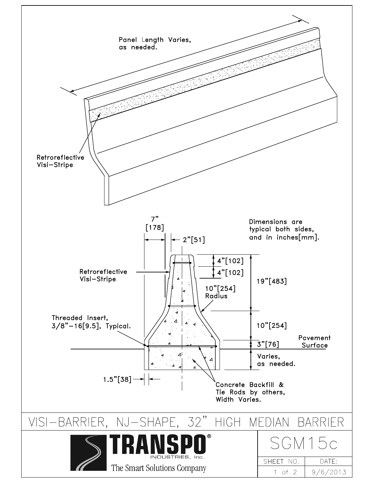